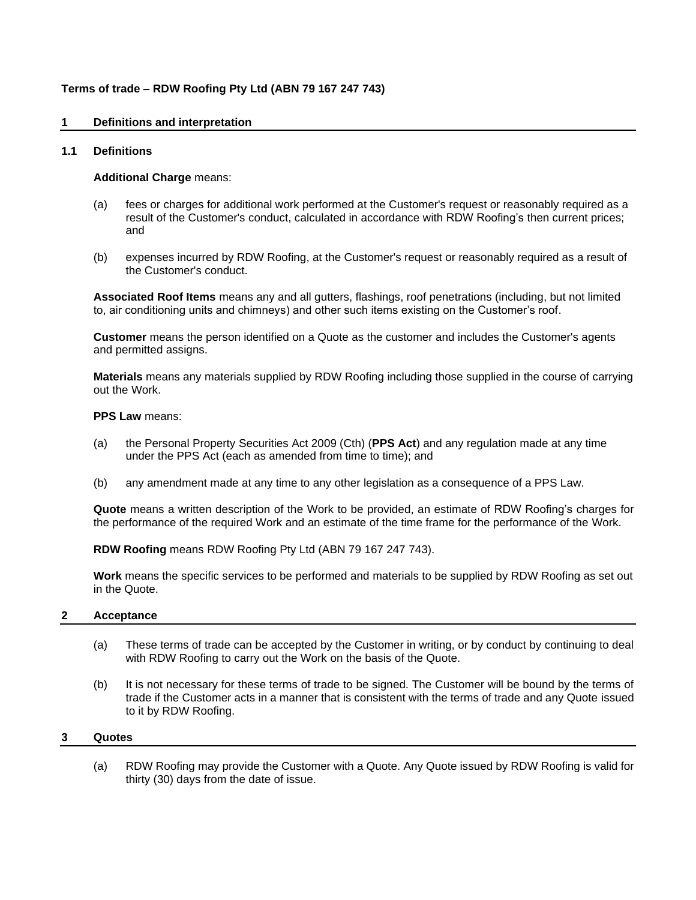# **Terms of trade – RDW Roofing Pty Ltd (ABN 79 167 247 743)**

# **1 Definitions and interpretation**

# **1.1 Definitions**

### **Additional Charge** means:

- (a) fees or charges for additional work performed at the Customer's request or reasonably required as a result of the Customer's conduct, calculated in accordance with RDW Roofing's then current prices; and
- (b) expenses incurred by RDW Roofing, at the Customer's request or reasonably required as a result of the Customer's conduct.

**Associated Roof Items** means any and all gutters, flashings, roof penetrations (including, but not limited to, air conditioning units and chimneys) and other such items existing on the Customer's roof.

**Customer** means the person identified on a Quote as the customer and includes the Customer's agents and permitted assigns.

**Materials** means any materials supplied by RDW Roofing including those supplied in the course of carrying out the Work.

#### **PPS Law** means:

- (a) the Personal Property Securities Act 2009 (Cth) (**PPS Act**) and any regulation made at any time under the PPS Act (each as amended from time to time); and
- (b) any amendment made at any time to any other legislation as a consequence of a PPS Law.

**Quote** means a written description of the Work to be provided, an estimate of RDW Roofing's charges for the performance of the required Work and an estimate of the time frame for the performance of the Work.

**RDW Roofing** means RDW Roofing Pty Ltd (ABN 79 167 247 743).

**Work** means the specific services to be performed and materials to be supplied by RDW Roofing as set out in the Quote.

#### **2 Acceptance**

- (a) These terms of trade can be accepted by the Customer in writing, or by conduct by continuing to deal with RDW Roofing to carry out the Work on the basis of the Quote.
- (b) It is not necessary for these terms of trade to be signed. The Customer will be bound by the terms of trade if the Customer acts in a manner that is consistent with the terms of trade and any Quote issued to it by RDW Roofing.

#### **3 Quotes**

(a) RDW Roofing may provide the Customer with a Quote. Any Quote issued by RDW Roofing is valid for thirty (30) days from the date of issue.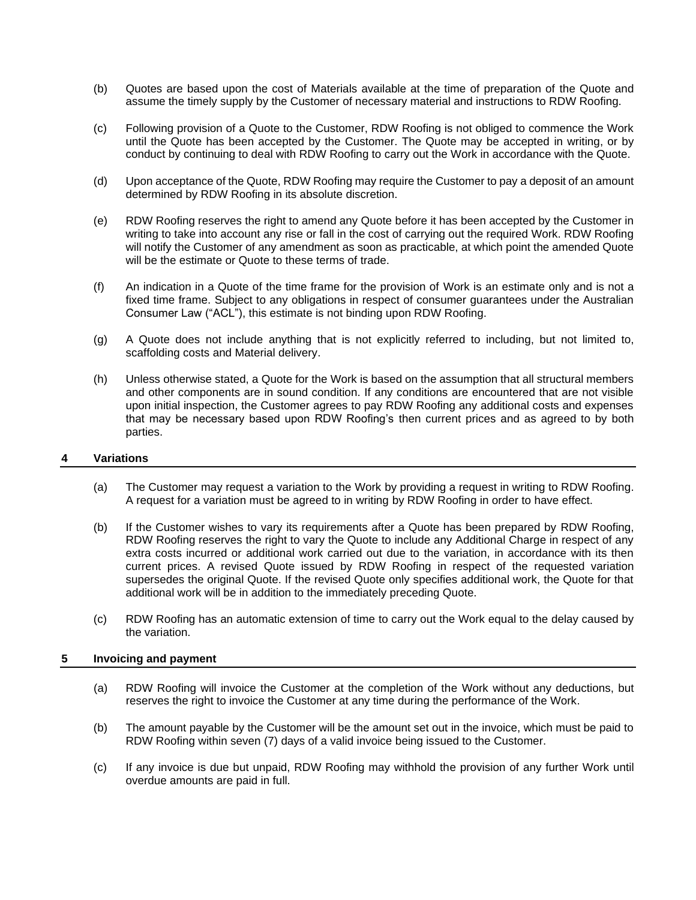- (b) Quotes are based upon the cost of Materials available at the time of preparation of the Quote and assume the timely supply by the Customer of necessary material and instructions to RDW Roofing.
- (c) Following provision of a Quote to the Customer, RDW Roofing is not obliged to commence the Work until the Quote has been accepted by the Customer. The Quote may be accepted in writing, or by conduct by continuing to deal with RDW Roofing to carry out the Work in accordance with the Quote.
- (d) Upon acceptance of the Quote, RDW Roofing may require the Customer to pay a deposit of an amount determined by RDW Roofing in its absolute discretion.
- (e) RDW Roofing reserves the right to amend any Quote before it has been accepted by the Customer in writing to take into account any rise or fall in the cost of carrying out the required Work. RDW Roofing will notify the Customer of any amendment as soon as practicable, at which point the amended Quote will be the estimate or Quote to these terms of trade.
- (f) An indication in a Quote of the time frame for the provision of Work is an estimate only and is not a fixed time frame. Subject to any obligations in respect of consumer guarantees under the Australian Consumer Law ("ACL"), this estimate is not binding upon RDW Roofing.
- (g) A Quote does not include anything that is not explicitly referred to including, but not limited to, scaffolding costs and Material delivery.
- (h) Unless otherwise stated, a Quote for the Work is based on the assumption that all structural members and other components are in sound condition. If any conditions are encountered that are not visible upon initial inspection, the Customer agrees to pay RDW Roofing any additional costs and expenses that may be necessary based upon RDW Roofing's then current prices and as agreed to by both parties.

# **4 Variations**

- (a) The Customer may request a variation to the Work by providing a request in writing to RDW Roofing. A request for a variation must be agreed to in writing by RDW Roofing in order to have effect.
- (b) If the Customer wishes to vary its requirements after a Quote has been prepared by RDW Roofing, RDW Roofing reserves the right to vary the Quote to include any Additional Charge in respect of any extra costs incurred or additional work carried out due to the variation, in accordance with its then current prices. A revised Quote issued by RDW Roofing in respect of the requested variation supersedes the original Quote. If the revised Quote only specifies additional work, the Quote for that additional work will be in addition to the immediately preceding Quote.
- (c) RDW Roofing has an automatic extension of time to carry out the Work equal to the delay caused by the variation.

# **5 Invoicing and payment**

- (a) RDW Roofing will invoice the Customer at the completion of the Work without any deductions, but reserves the right to invoice the Customer at any time during the performance of the Work.
- (b) The amount payable by the Customer will be the amount set out in the invoice, which must be paid to RDW Roofing within seven (7) days of a valid invoice being issued to the Customer.
- (c) If any invoice is due but unpaid, RDW Roofing may withhold the provision of any further Work until overdue amounts are paid in full.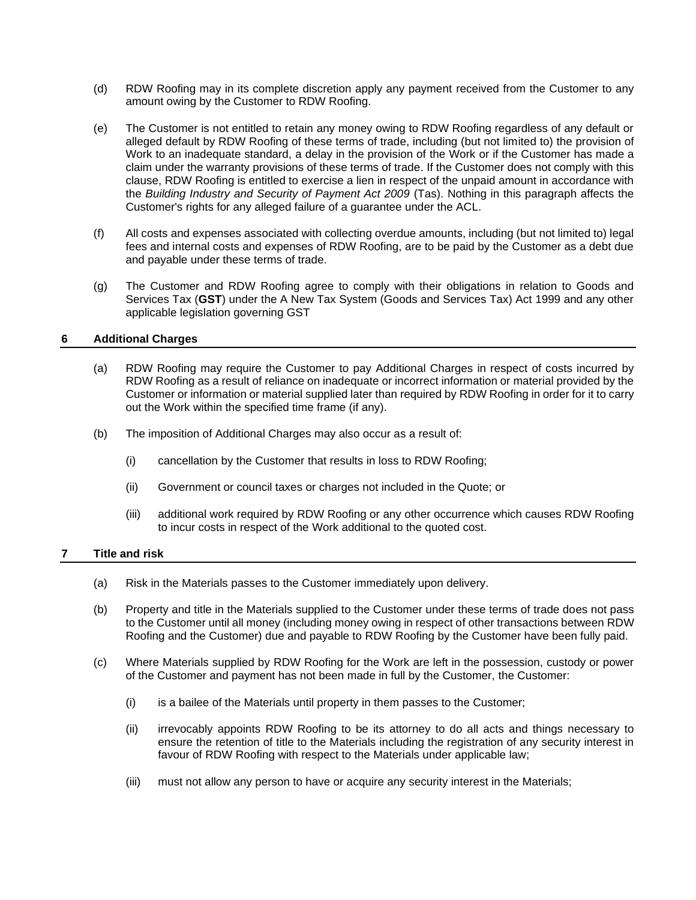- (d) RDW Roofing may in its complete discretion apply any payment received from the Customer to any amount owing by the Customer to RDW Roofing.
- (e) The Customer is not entitled to retain any money owing to RDW Roofing regardless of any default or alleged default by RDW Roofing of these terms of trade, including (but not limited to) the provision of Work to an inadequate standard, a delay in the provision of the Work or if the Customer has made a claim under the warranty provisions of these terms of trade. If the Customer does not comply with this clause, RDW Roofing is entitled to exercise a lien in respect of the unpaid amount in accordance with the *Building Industry and Security of Payment Act 2009* (Tas). Nothing in this paragraph affects the Customer's rights for any alleged failure of a guarantee under the ACL.
- (f) All costs and expenses associated with collecting overdue amounts, including (but not limited to) legal fees and internal costs and expenses of RDW Roofing, are to be paid by the Customer as a debt due and payable under these terms of trade.
- (g) The Customer and RDW Roofing agree to comply with their obligations in relation to Goods and Services Tax (**GST**) under the A New Tax System (Goods and Services Tax) Act 1999 and any other applicable legislation governing GST

# **6 Additional Charges**

- (a) RDW Roofing may require the Customer to pay Additional Charges in respect of costs incurred by RDW Roofing as a result of reliance on inadequate or incorrect information or material provided by the Customer or information or material supplied later than required by RDW Roofing in order for it to carry out the Work within the specified time frame (if any).
- (b) The imposition of Additional Charges may also occur as a result of:
	- (i) cancellation by the Customer that results in loss to RDW Roofing;
	- (ii) Government or council taxes or charges not included in the Quote; or
	- (iii) additional work required by RDW Roofing or any other occurrence which causes RDW Roofing to incur costs in respect of the Work additional to the quoted cost.

# **7 Title and risk**

- (a) Risk in the Materials passes to the Customer immediately upon delivery.
- (b) Property and title in the Materials supplied to the Customer under these terms of trade does not pass to the Customer until all money (including money owing in respect of other transactions between RDW Roofing and the Customer) due and payable to RDW Roofing by the Customer have been fully paid.
- (c) Where Materials supplied by RDW Roofing for the Work are left in the possession, custody or power of the Customer and payment has not been made in full by the Customer, the Customer:
	- (i) is a bailee of the Materials until property in them passes to the Customer;
	- (ii) irrevocably appoints RDW Roofing to be its attorney to do all acts and things necessary to ensure the retention of title to the Materials including the registration of any security interest in favour of RDW Roofing with respect to the Materials under applicable law;
	- (iii) must not allow any person to have or acquire any security interest in the Materials;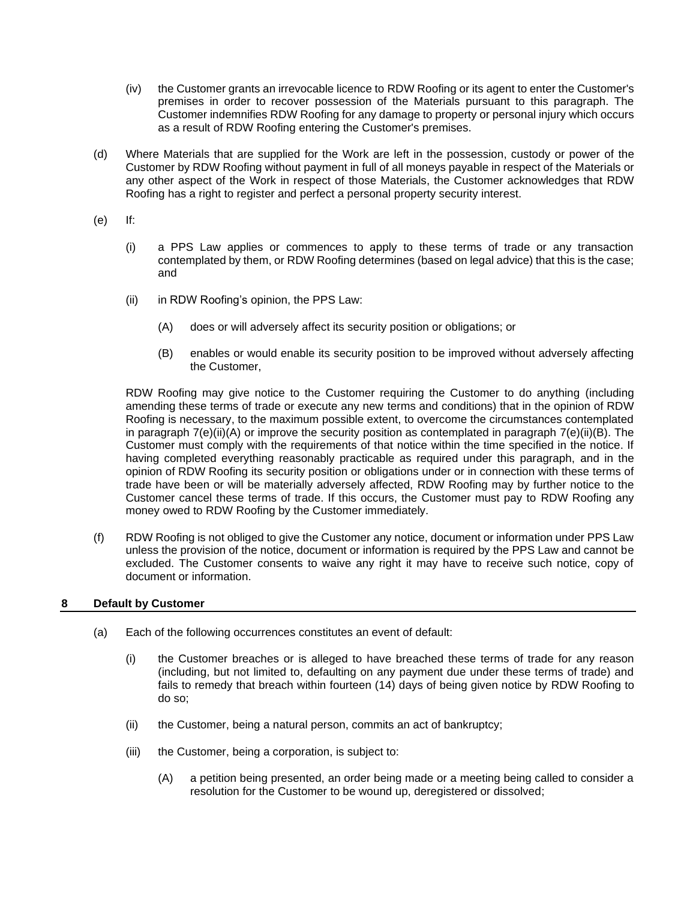- (iv) the Customer grants an irrevocable licence to RDW Roofing or its agent to enter the Customer's premises in order to recover possession of the Materials pursuant to this paragraph. The Customer indemnifies RDW Roofing for any damage to property or personal injury which occurs as a result of RDW Roofing entering the Customer's premises.
- (d) Where Materials that are supplied for the Work are left in the possession, custody or power of the Customer by RDW Roofing without payment in full of all moneys payable in respect of the Materials or any other aspect of the Work in respect of those Materials, the Customer acknowledges that RDW Roofing has a right to register and perfect a personal property security interest.
- (e) If:
	- (i) a PPS Law applies or commences to apply to these terms of trade or any transaction contemplated by them, or RDW Roofing determines (based on legal advice) that this is the case; and
	- (ii) in RDW Roofing's opinion, the PPS Law:
		- (A) does or will adversely affect its security position or obligations; or
		- (B) enables or would enable its security position to be improved without adversely affecting the Customer,

<span id="page-3-1"></span><span id="page-3-0"></span>RDW Roofing may give notice to the Customer requiring the Customer to do anything (including amending these terms of trade or execute any new terms and conditions) that in the opinion of RDW Roofing is necessary, to the maximum possible extent, to overcome the circumstances contemplated in paragraph  $7(e)(ii)(A)$  or improve the security position as contemplated in paragraph  $7(e)(ii)(B)$ . The Customer must comply with the requirements of that notice within the time specified in the notice. If having completed everything reasonably practicable as required under this paragraph, and in the opinion of RDW Roofing its security position or obligations under or in connection with these terms of trade have been or will be materially adversely affected, RDW Roofing may by further notice to the Customer cancel these terms of trade. If this occurs, the Customer must pay to RDW Roofing any money owed to RDW Roofing by the Customer immediately.

(f) RDW Roofing is not obliged to give the Customer any notice, document or information under PPS Law unless the provision of the notice, document or information is required by the PPS Law and cannot be excluded. The Customer consents to waive any right it may have to receive such notice, copy of document or information.

# **8 Default by Customer**

- (a) Each of the following occurrences constitutes an event of default:
	- (i) the Customer breaches or is alleged to have breached these terms of trade for any reason (including, but not limited to, defaulting on any payment due under these terms of trade) and fails to remedy that breach within fourteen (14) days of being given notice by RDW Roofing to do so;
	- (ii) the Customer, being a natural person, commits an act of bankruptcy;
	- (iii) the Customer, being a corporation, is subject to:
		- (A) a petition being presented, an order being made or a meeting being called to consider a resolution for the Customer to be wound up, deregistered or dissolved;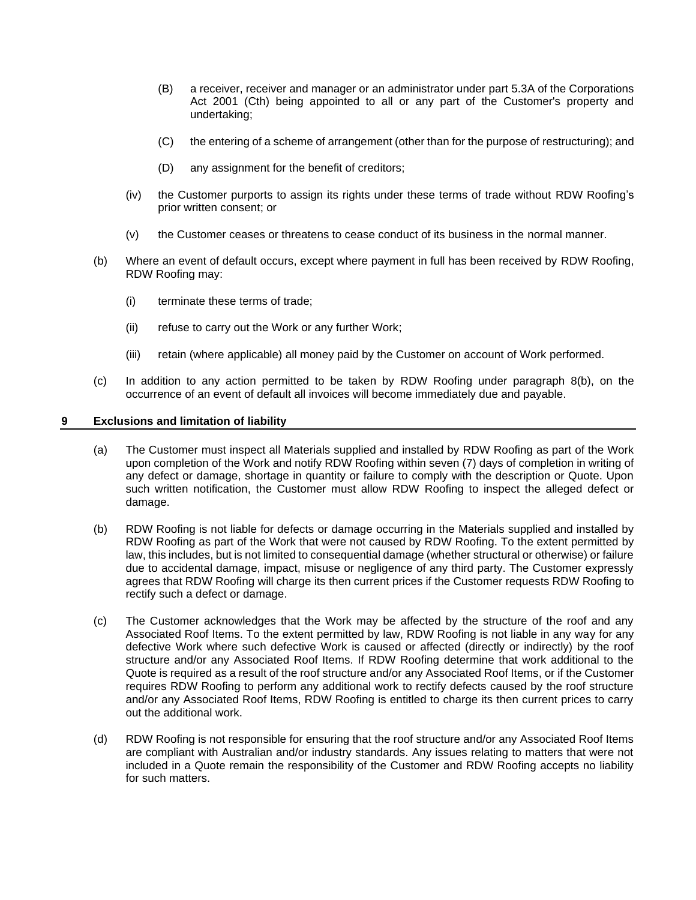- (B) a receiver, receiver and manager or an administrator under part 5.3A of the Corporations Act 2001 (Cth) being appointed to all or any part of the Customer's property and undertaking;
- (C) the entering of a scheme of arrangement (other than for the purpose of restructuring); and
- (D) any assignment for the benefit of creditors;
- (iv) the Customer purports to assign its rights under these terms of trade without RDW Roofing's prior written consent; or
- (v) the Customer ceases or threatens to cease conduct of its business in the normal manner.
- <span id="page-4-0"></span>(b) Where an event of default occurs, except where payment in full has been received by RDW Roofing, RDW Roofing may:
	- (i) terminate these terms of trade;
	- (ii) refuse to carry out the Work or any further Work;
	- (iii) retain (where applicable) all money paid by the Customer on account of Work performed.
- (c) In addition to any action permitted to be taken by RDW Roofing under paragraph [8\(b\),](#page-4-0) on the occurrence of an event of default all invoices will become immediately due and payable.

#### **9 Exclusions and limitation of liability**

- (a) The Customer must inspect all Materials supplied and installed by RDW Roofing as part of the Work upon completion of the Work and notify RDW Roofing within seven (7) days of completion in writing of any defect or damage, shortage in quantity or failure to comply with the description or Quote. Upon such written notification, the Customer must allow RDW Roofing to inspect the alleged defect or damage.
- (b) RDW Roofing is not liable for defects or damage occurring in the Materials supplied and installed by RDW Roofing as part of the Work that were not caused by RDW Roofing. To the extent permitted by law, this includes, but is not limited to consequential damage (whether structural or otherwise) or failure due to accidental damage, impact, misuse or negligence of any third party. The Customer expressly agrees that RDW Roofing will charge its then current prices if the Customer requests RDW Roofing to rectify such a defect or damage.
- (c) The Customer acknowledges that the Work may be affected by the structure of the roof and any Associated Roof Items. To the extent permitted by law, RDW Roofing is not liable in any way for any defective Work where such defective Work is caused or affected (directly or indirectly) by the roof structure and/or any Associated Roof Items. If RDW Roofing determine that work additional to the Quote is required as a result of the roof structure and/or any Associated Roof Items, or if the Customer requires RDW Roofing to perform any additional work to rectify defects caused by the roof structure and/or any Associated Roof Items, RDW Roofing is entitled to charge its then current prices to carry out the additional work.
- (d) RDW Roofing is not responsible for ensuring that the roof structure and/or any Associated Roof Items are compliant with Australian and/or industry standards. Any issues relating to matters that were not included in a Quote remain the responsibility of the Customer and RDW Roofing accepts no liability for such matters.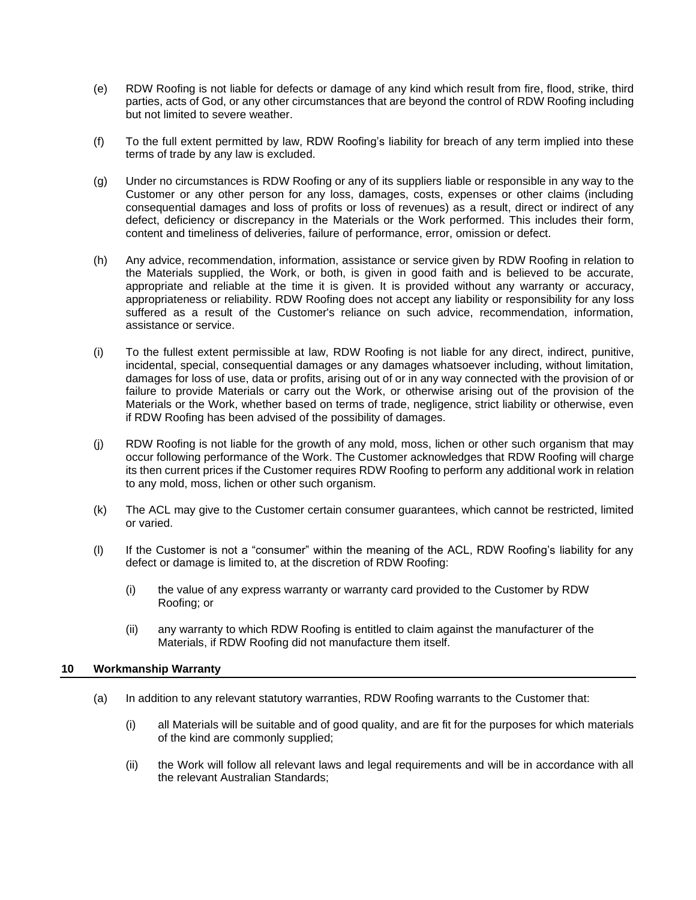- (e) RDW Roofing is not liable for defects or damage of any kind which result from fire, flood, strike, third parties, acts of God, or any other circumstances that are beyond the control of RDW Roofing including but not limited to severe weather.
- (f) To the full extent permitted by law, RDW Roofing's liability for breach of any term implied into these terms of trade by any law is excluded.
- (g) Under no circumstances is RDW Roofing or any of its suppliers liable or responsible in any way to the Customer or any other person for any loss, damages, costs, expenses or other claims (including consequential damages and loss of profits or loss of revenues) as a result, direct or indirect of any defect, deficiency or discrepancy in the Materials or the Work performed. This includes their form, content and timeliness of deliveries, failure of performance, error, omission or defect.
- (h) Any advice, recommendation, information, assistance or service given by RDW Roofing in relation to the Materials supplied, the Work, or both, is given in good faith and is believed to be accurate, appropriate and reliable at the time it is given. It is provided without any warranty or accuracy, appropriateness or reliability. RDW Roofing does not accept any liability or responsibility for any loss suffered as a result of the Customer's reliance on such advice, recommendation, information, assistance or service.
- (i) To the fullest extent permissible at law, RDW Roofing is not liable for any direct, indirect, punitive, incidental, special, consequential damages or any damages whatsoever including, without limitation, damages for loss of use, data or profits, arising out of or in any way connected with the provision of or failure to provide Materials or carry out the Work, or otherwise arising out of the provision of the Materials or the Work, whether based on terms of trade, negligence, strict liability or otherwise, even if RDW Roofing has been advised of the possibility of damages.
- (j) RDW Roofing is not liable for the growth of any mold, moss, lichen or other such organism that may occur following performance of the Work. The Customer acknowledges that RDW Roofing will charge its then current prices if the Customer requires RDW Roofing to perform any additional work in relation to any mold, moss, lichen or other such organism.
- (k) The ACL may give to the Customer certain consumer guarantees, which cannot be restricted, limited or varied.
- (l) If the Customer is not a "consumer" within the meaning of the ACL, RDW Roofing's liability for any defect or damage is limited to, at the discretion of RDW Roofing:
	- (i) the value of any express warranty or warranty card provided to the Customer by RDW Roofing; or
	- (ii) any warranty to which RDW Roofing is entitled to claim against the manufacturer of the Materials, if RDW Roofing did not manufacture them itself.

# **10 Workmanship Warranty**

- (a) In addition to any relevant statutory warranties, RDW Roofing warrants to the Customer that:
	- (i) all Materials will be suitable and of good quality, and are fit for the purposes for which materials of the kind are commonly supplied;
	- (ii) the Work will follow all relevant laws and legal requirements and will be in accordance with all the relevant Australian Standards;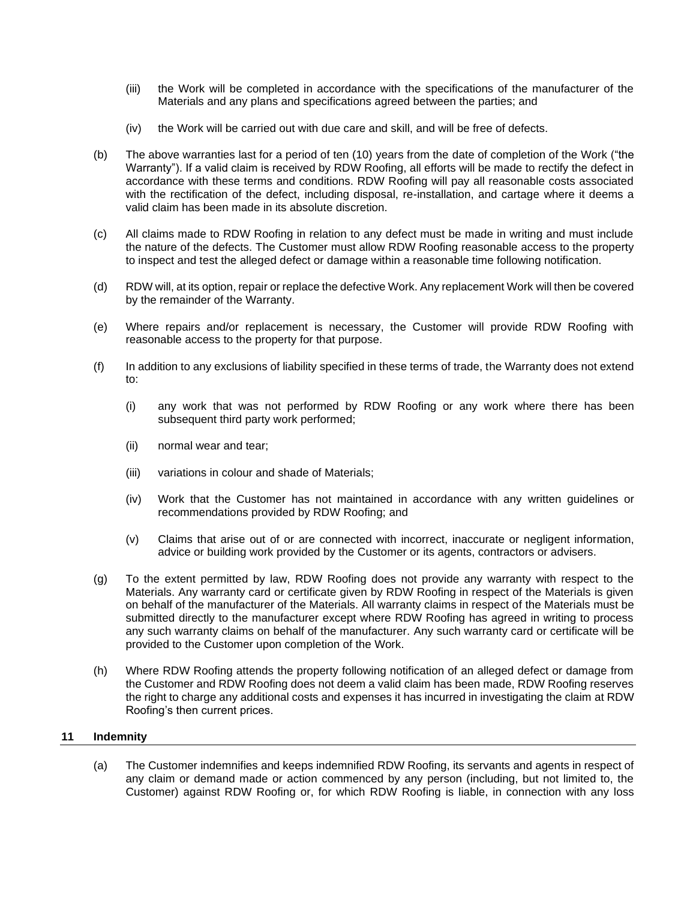- (iii) the Work will be completed in accordance with the specifications of the manufacturer of the Materials and any plans and specifications agreed between the parties; and
- (iv) the Work will be carried out with due care and skill, and will be free of defects.
- (b) The above warranties last for a period of ten (10) years from the date of completion of the Work ("the Warranty"). If a valid claim is received by RDW Roofing, all efforts will be made to rectify the defect in accordance with these terms and conditions. RDW Roofing will pay all reasonable costs associated with the rectification of the defect, including disposal, re-installation, and cartage where it deems a valid claim has been made in its absolute discretion.
- (c) All claims made to RDW Roofing in relation to any defect must be made in writing and must include the nature of the defects. The Customer must allow RDW Roofing reasonable access to the property to inspect and test the alleged defect or damage within a reasonable time following notification.
- (d) RDW will, at its option, repair or replace the defective Work. Any replacement Work will then be covered by the remainder of the Warranty.
- (e) Where repairs and/or replacement is necessary, the Customer will provide RDW Roofing with reasonable access to the property for that purpose.
- (f) In addition to any exclusions of liability specified in these terms of trade, the Warranty does not extend to:
	- (i) any work that was not performed by RDW Roofing or any work where there has been subsequent third party work performed;
	- (ii) normal wear and tear;
	- (iii) variations in colour and shade of Materials;
	- (iv) Work that the Customer has not maintained in accordance with any written guidelines or recommendations provided by RDW Roofing; and
	- (v) Claims that arise out of or are connected with incorrect, inaccurate or negligent information, advice or building work provided by the Customer or its agents, contractors or advisers.
- (g) To the extent permitted by law, RDW Roofing does not provide any warranty with respect to the Materials. Any warranty card or certificate given by RDW Roofing in respect of the Materials is given on behalf of the manufacturer of the Materials. All warranty claims in respect of the Materials must be submitted directly to the manufacturer except where RDW Roofing has agreed in writing to process any such warranty claims on behalf of the manufacturer. Any such warranty card or certificate will be provided to the Customer upon completion of the Work.
- (h) Where RDW Roofing attends the property following notification of an alleged defect or damage from the Customer and RDW Roofing does not deem a valid claim has been made, RDW Roofing reserves the right to charge any additional costs and expenses it has incurred in investigating the claim at RDW Roofing's then current prices.

# **11 Indemnity**

(a) The Customer indemnifies and keeps indemnified RDW Roofing, its servants and agents in respect of any claim or demand made or action commenced by any person (including, but not limited to, the Customer) against RDW Roofing or, for which RDW Roofing is liable, in connection with any loss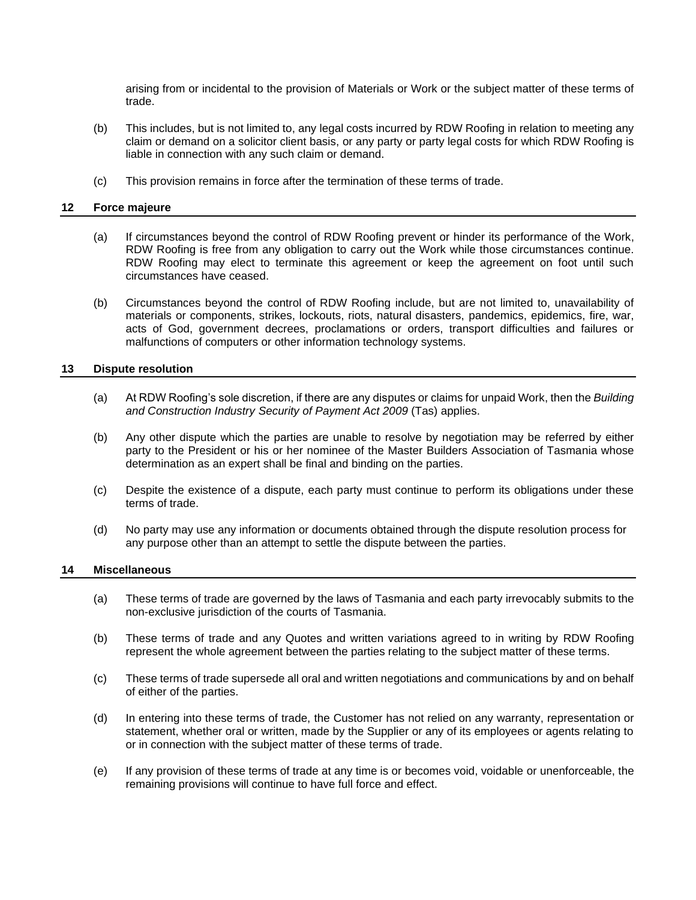arising from or incidental to the provision of Materials or Work or the subject matter of these terms of trade.

- (b) This includes, but is not limited to, any legal costs incurred by RDW Roofing in relation to meeting any claim or demand on a solicitor client basis, or any party or party legal costs for which RDW Roofing is liable in connection with any such claim or demand.
- (c) This provision remains in force after the termination of these terms of trade.

### **12 Force majeure**

- (a) If circumstances beyond the control of RDW Roofing prevent or hinder its performance of the Work, RDW Roofing is free from any obligation to carry out the Work while those circumstances continue. RDW Roofing may elect to terminate this agreement or keep the agreement on foot until such circumstances have ceased.
- (b) Circumstances beyond the control of RDW Roofing include, but are not limited to, unavailability of materials or components, strikes, lockouts, riots, natural disasters, pandemics, epidemics, fire, war, acts of God, government decrees, proclamations or orders, transport difficulties and failures or malfunctions of computers or other information technology systems.

### **13 Dispute resolution**

- (a) At RDW Roofing's sole discretion, if there are any disputes or claims for unpaid Work, then the *Building and Construction Industry Security of Payment Act 2009* (Tas) applies.
- (b) Any other dispute which the parties are unable to resolve by negotiation may be referred by either party to the President or his or her nominee of the Master Builders Association of Tasmania whose determination as an expert shall be final and binding on the parties.
- (c) Despite the existence of a dispute, each party must continue to perform its obligations under these terms of trade.
- (d) No party may use any information or documents obtained through the dispute resolution process for any purpose other than an attempt to settle the dispute between the parties.

#### **14 Miscellaneous**

- (a) These terms of trade are governed by the laws of Tasmania and each party irrevocably submits to the non-exclusive jurisdiction of the courts of Tasmania.
- (b) These terms of trade and any Quotes and written variations agreed to in writing by RDW Roofing represent the whole agreement between the parties relating to the subject matter of these terms.
- (c) These terms of trade supersede all oral and written negotiations and communications by and on behalf of either of the parties.
- (d) In entering into these terms of trade, the Customer has not relied on any warranty, representation or statement, whether oral or written, made by the Supplier or any of its employees or agents relating to or in connection with the subject matter of these terms of trade.
- (e) If any provision of these terms of trade at any time is or becomes void, voidable or unenforceable, the remaining provisions will continue to have full force and effect.